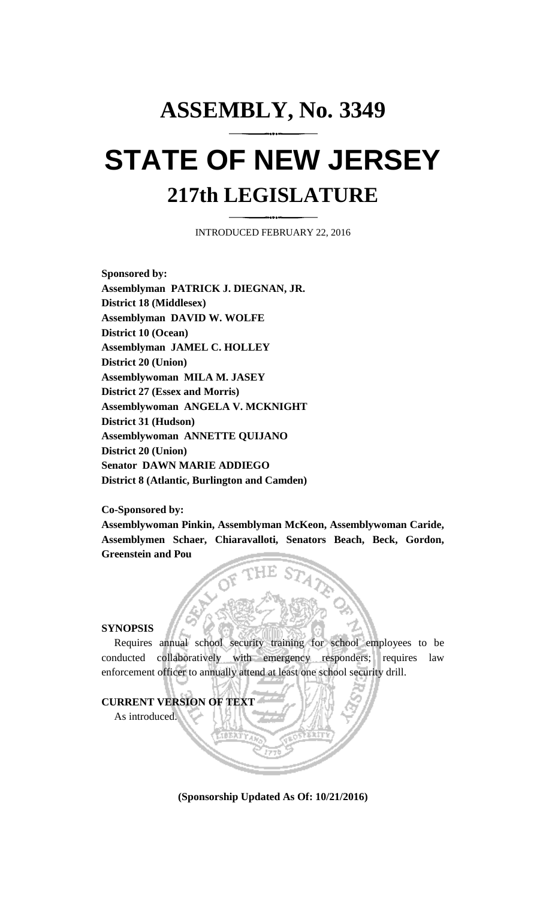## **ASSEMBLY, No. 3349 STATE OF NEW JERSEY 217th LEGISLATURE**

INTRODUCED FEBRUARY 22, 2016

**Sponsored by: Assemblyman PATRICK J. DIEGNAN, JR. District 18 (Middlesex) Assemblyman DAVID W. WOLFE District 10 (Ocean) Assemblyman JAMEL C. HOLLEY District 20 (Union) Assemblywoman MILA M. JASEY District 27 (Essex and Morris) Assemblywoman ANGELA V. MCKNIGHT District 31 (Hudson) Assemblywoman ANNETTE QUIJANO District 20 (Union) Senator DAWN MARIE ADDIEGO District 8 (Atlantic, Burlington and Camden)**

**Co-Sponsored by:**

**Assemblywoman Pinkin, Assemblyman McKeon, Assemblywoman Caride, Assemblymen Schaer, Chiaravalloti, Senators Beach, Beck, Gordon, Greenstein and Pou**

## **SYNOPSIS**

Requires annual school security training for school employees to be conducted collaboratively with emergency responders; requires law enforcement officer to annually attend at least one school security drill.

## **CURRENT VERSION OF TEXT**

As introduced.

**(Sponsorship Updated As Of: 10/21/2016)**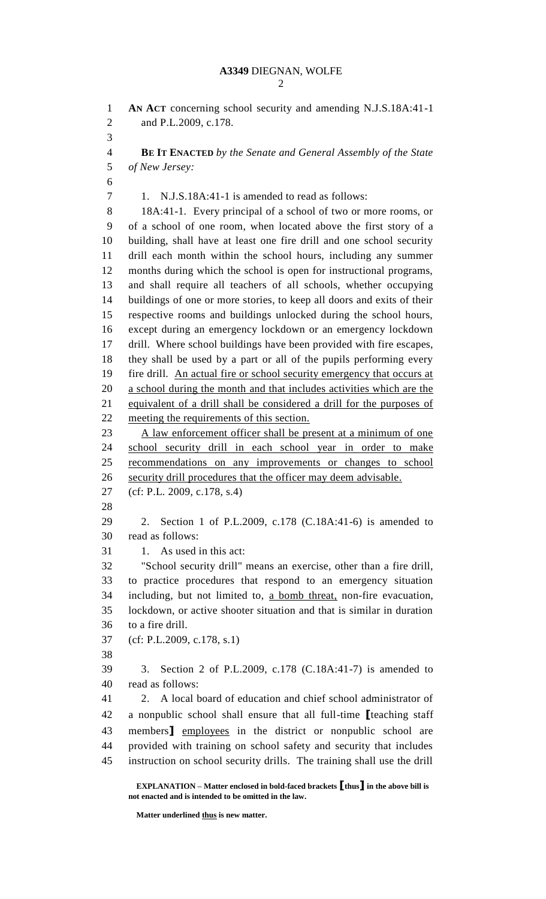```
2
```
 **AN ACT** concerning school security and amending N.J.S.18A:41-1 and P.L.2009, c.178. **BE IT ENACTED** *by the Senate and General Assembly of the State of New Jersey:* 1. N.J.S.18A:41-1 is amended to read as follows: 18A:41-1. Every principal of a school of two or more rooms, or of a school of one room, when located above the first story of a building, shall have at least one fire drill and one school security drill each month within the school hours, including any summer months during which the school is open for instructional programs, and shall require all teachers of all schools, whether occupying buildings of one or more stories, to keep all doors and exits of their respective rooms and buildings unlocked during the school hours, except during an emergency lockdown or an emergency lockdown drill. Where school buildings have been provided with fire escapes, they shall be used by a part or all of the pupils performing every fire drill. An actual fire or school security emergency that occurs at a school during the month and that includes activities which are the equivalent of a drill shall be considered a drill for the purposes of meeting the requirements of this section. 23 A law enforcement officer shall be present at a minimum of one school security drill in each school year in order to make recommendations on any improvements or changes to school security drill procedures that the officer may deem advisable. (cf: P.L. 2009, c.178, s.4) 2. Section 1 of P.L.2009, c.178 (C.18A:41-6) is amended to read as follows: 31 1. As used in this act: "School security drill" means an exercise, other than a fire drill, to practice procedures that respond to an emergency situation including, but not limited to, a bomb threat, non-fire evacuation, lockdown, or active shooter situation and that is similar in duration to a fire drill. (cf: P.L.2009, c.178, s.1) 3. Section 2 of P.L.2009, c.178 (C.18A:41-7) is amended to read as follows: 2. A local board of education and chief school administrator of a nonpublic school shall ensure that all full-time **[**teaching staff members**]** employees in the district or nonpublic school are provided with training on school safety and security that includes instruction on school security drills. The training shall use the drill

**Matter underlined thus is new matter.**

**EXPLANATION – Matter enclosed in bold-faced brackets [thus] in the above bill is not enacted and is intended to be omitted in the law.**